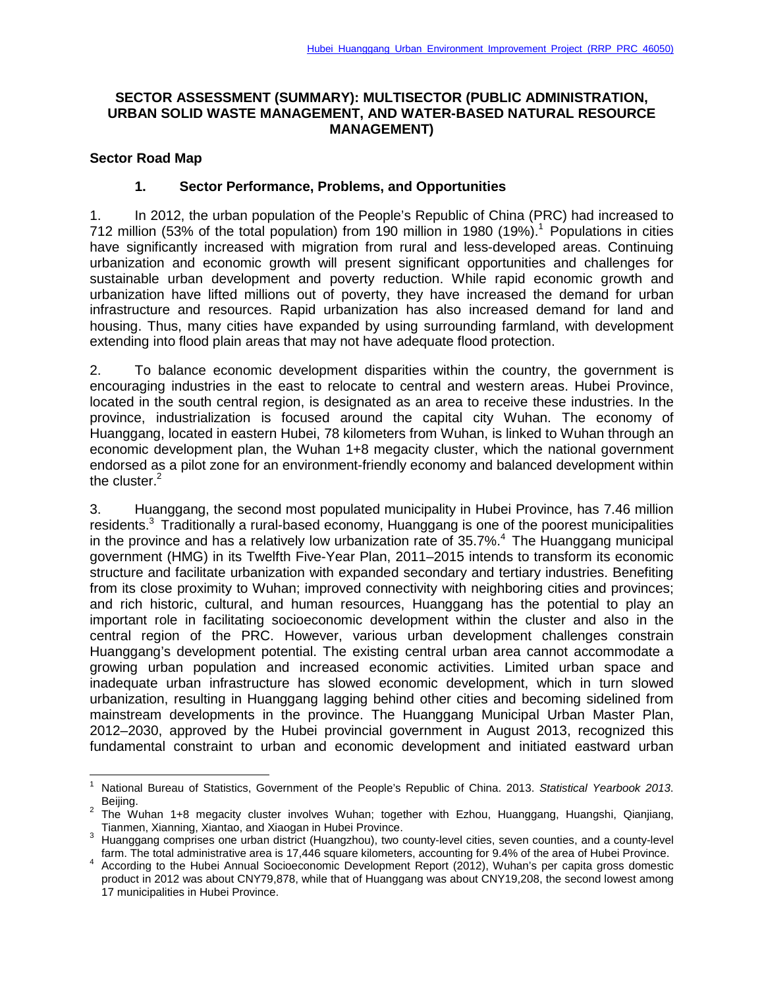### **SECTOR ASSESSMENT (SUMMARY): MULTISECTOR (PUBLIC ADMINISTRATION, URBAN SOLID WASTE MANAGEMENT, AND WATER-BASED NATURAL RESOURCE MANAGEMENT)**

### **Sector Road Map**

 $\overline{\phantom{a}}$ 

### **1. Sector Performance, Problems, and Opportunities**

1. In 2012, the urban population of the People's Republic of China (PRC) had increased to 712 million (53% of the total population) from 190 million in 1980 (19%). <sup>1</sup> Populations in cities have significantly increased with migration from rural and less-developed areas. Continuing urbanization and economic growth will present significant opportunities and challenges for sustainable urban development and poverty reduction. While rapid economic growth and urbanization have lifted millions out of poverty, they have increased the demand for urban infrastructure and resources. Rapid urbanization has also increased demand for land and housing. Thus, many cities have expanded by using surrounding farmland, with development extending into flood plain areas that may not have adequate flood protection.

2. To balance economic development disparities within the country, the government is encouraging industries in the east to relocate to central and western areas. Hubei Province, located in the south central region, is designated as an area to receive these industries. In the province, industrialization is focused around the capital city Wuhan. The economy of Huanggang, located in eastern Hubei, 78 kilometers from Wuhan, is linked to Wuhan through an economic development plan, the Wuhan 1+8 megacity cluster, which the national government endorsed as a pilot zone for an environment-friendly economy and balanced development within the cluster. $<sup>2</sup>$ </sup>

3. Huanggang, the second most populated municipality in Hubei Province, has 7.46 million residents.<sup>3</sup> Traditionally a rural-based economy, Huanggang is one of the poorest municipalities in the province and has a relatively low urbanization rate of  $35.7\%$ .<sup>4</sup> The Huanggang municipal government (HMG) in its Twelfth Five-Year Plan, 2011–2015 intends to transform its economic structure and facilitate urbanization with expanded secondary and tertiary industries. Benefiting from its close proximity to Wuhan; improved connectivity with neighboring cities and provinces; and rich historic, cultural, and human resources, Huanggang has the potential to play an important role in facilitating socioeconomic development within the cluster and also in the central region of the PRC. However, various urban development challenges constrain Huanggang's development potential. The existing central urban area cannot accommodate a growing urban population and increased economic activities. Limited urban space and inadequate urban infrastructure has slowed economic development, which in turn slowed urbanization, resulting in Huanggang lagging behind other cities and becoming sidelined from mainstream developments in the province. The Huanggang Municipal Urban Master Plan, 2012–2030, approved by the Hubei provincial government in August 2013, recognized this fundamental constraint to urban and economic development and initiated eastward urban

<sup>1</sup> National Bureau of Statistics, Government of the People's Republic of China. 2013. *Statistical Yearbook 2013*.

Beijing.<br><sup>2</sup> The Wuhan 1+8 megacity cluster involves Wuhan; together with Ezhou, Huanggang, Huangshi, Qianjiang,<br>19 Tianmen, Xianning, Xiantao, and Xiaogan in Hubei Province.

Tranmen, Alemaning, Theorem, Theorem, Theorem in Hubei Province.<br>19 Huanggang comprises one urban district (Huangzhou), two county-level cities, seven counties, and a county-level<br>19 Farm. The total administrative area is

farm. The total administrative area is 17,446 square kilometers, accounting for 9.4% of the area of Hubei Province. <sup>4</sup> According to the Hubei Annual Socioeconomic Development Report (2012), Wuhan's per capita gross domestic product in 2012 was about CNY79,878, while that of Huanggang was about CNY19,208, the second lowest among 17 municipalities in Hubei Province.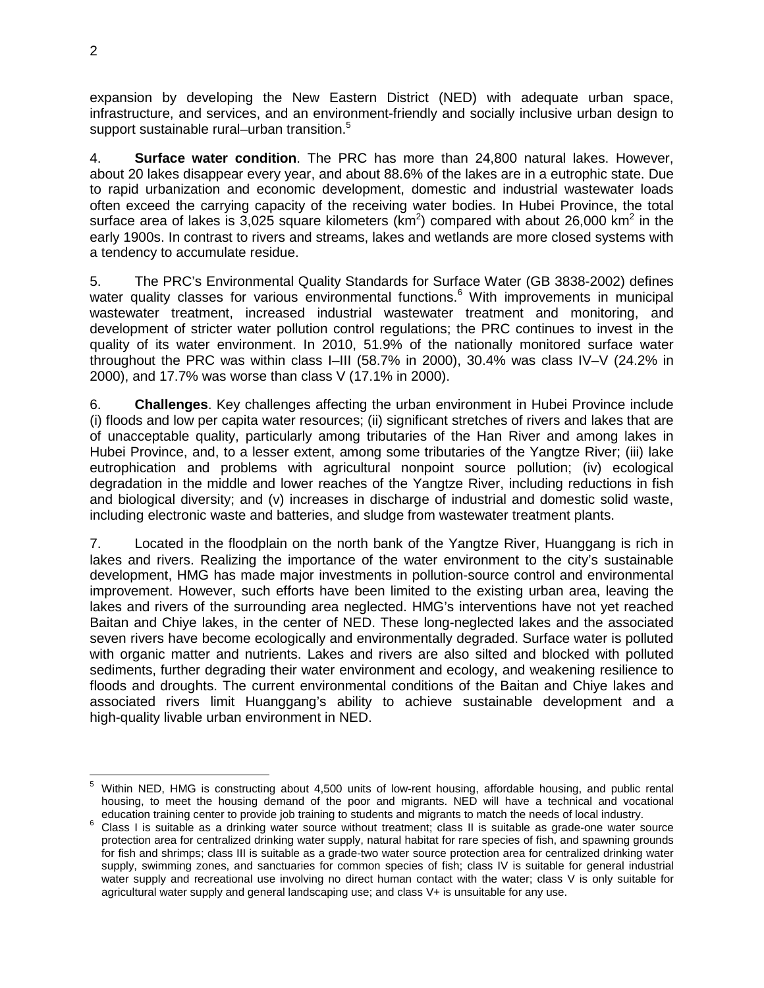expansion by developing the New Eastern District (NED) with adequate urban space, infrastructure, and services, and an environment-friendly and socially inclusive urban design to support sustainable rural–urban transition.<sup>5</sup>

4. **Surface water condition**. The PRC has more than 24,800 natural lakes. However, about 20 lakes disappear every year, and about 88.6% of the lakes are in a eutrophic state. Due to rapid urbanization and economic development, domestic and industrial wastewater loads often exceed the carrying capacity of the receiving water bodies. In Hubei Province, the total surface area of lakes is 3,025 square kilometers ( $km^2$ ) compared with about 26,000 km<sup>2</sup> in the early 1900s. In contrast to rivers and streams, lakes and wetlands are more closed systems with a tendency to accumulate residue.

5. The PRC's Environmental Quality Standards for Surface Water (GB 3838-2002) defines water quality classes for various environmental functions.<sup>6</sup> With improvements in municipal wastewater treatment, increased industrial wastewater treatment and monitoring, and development of stricter water pollution control regulations; the PRC continues to invest in the quality of its water environment. In 2010, 51.9% of the nationally monitored surface water throughout the PRC was within class I–III (58.7% in 2000), 30.4% was class IV–V (24.2% in 2000), and 17.7% was worse than class V (17.1% in 2000).

6. **Challenges**. Key challenges affecting the urban environment in Hubei Province include (i) floods and low per capita water resources; (ii) significant stretches of rivers and lakes that are of unacceptable quality, particularly among tributaries of the Han River and among lakes in Hubei Province, and, to a lesser extent, among some tributaries of the Yangtze River; (iii) lake eutrophication and problems with agricultural nonpoint source pollution; (iv) ecological degradation in the middle and lower reaches of the Yangtze River, including reductions in fish and biological diversity; and (v) increases in discharge of industrial and domestic solid waste, including electronic waste and batteries, and sludge from wastewater treatment plants.

7. Located in the floodplain on the north bank of the Yangtze River, Huanggang is rich in lakes and rivers. Realizing the importance of the water environment to the city's sustainable development, HMG has made major investments in pollution-source control and environmental improvement. However, such efforts have been limited to the existing urban area, leaving the lakes and rivers of the surrounding area neglected. HMG's interventions have not yet reached Baitan and Chiye lakes, in the center of NED. These long-neglected lakes and the associated seven rivers have become ecologically and environmentally degraded. Surface water is polluted with organic matter and nutrients. Lakes and rivers are also silted and blocked with polluted sediments, further degrading their water environment and ecology, and weakening resilience to floods and droughts. The current environmental conditions of the Baitan and Chiye lakes and associated rivers limit Huanggang's ability to achieve sustainable development and a high-quality livable urban environment in NED.

<sup>5</sup> Within NED, HMG is constructing about 4,500 units of low-rent housing, affordable housing, and public rental housing, to meet the housing demand of the poor and migrants. NED will have a technical and vocational  $\overline{a}$ 

education training center to provide job training to students and migrants to match the needs of local industry.<br><sup>6</sup> Class I is suitable as a drinking water source without treatment; class II is suitable as grade-one water protection area for centralized drinking water supply, natural habitat for rare species of fish, and spawning grounds for fish and shrimps; class III is suitable as a grade-two water source protection area for centralized drinking water supply, swimming zones, and sanctuaries for common species of fish; class IV is suitable for general industrial water supply and recreational use involving no direct human contact with the water; class V is only suitable for agricultural water supply and general landscaping use; and class V+ is unsuitable for any use.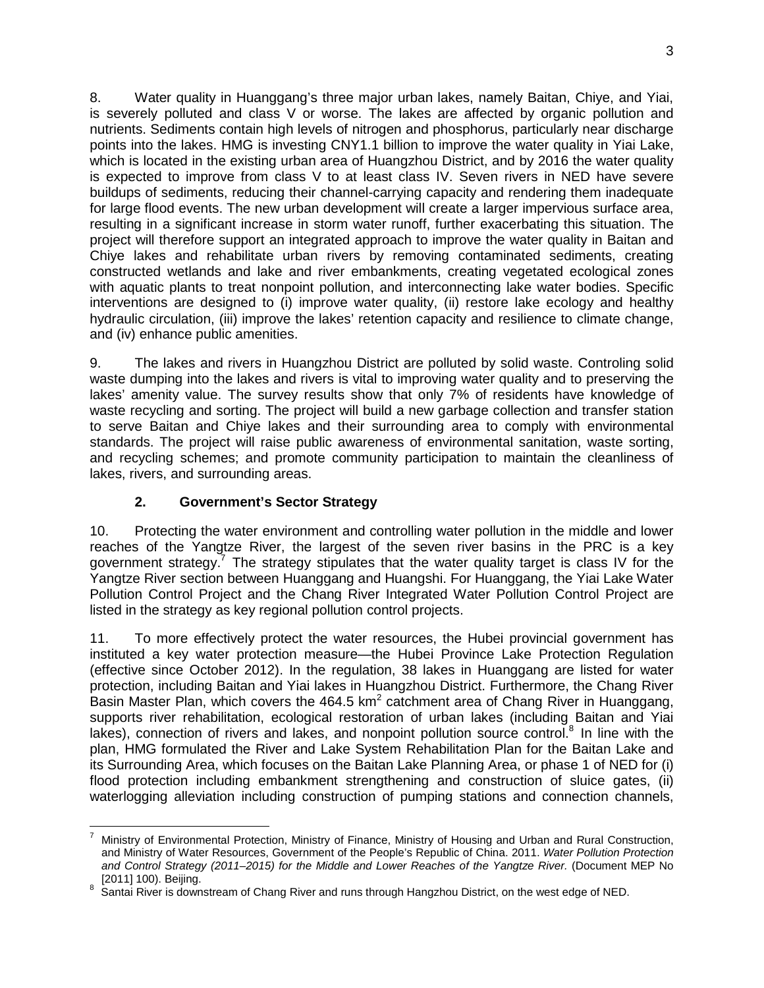8. Water quality in Huanggang's three major urban lakes, namely Baitan, Chiye, and Yiai, is severely polluted and class V or worse. The lakes are affected by organic pollution and nutrients. Sediments contain high levels of nitrogen and phosphorus, particularly near discharge points into the lakes. HMG is investing CNY1.1 billion to improve the water quality in Yiai Lake, which is located in the existing urban area of Huangzhou District, and by 2016 the water quality is expected to improve from class V to at least class IV. Seven rivers in NED have severe buildups of sediments, reducing their channel-carrying capacity and rendering them inadequate for large flood events. The new urban development will create a larger impervious surface area, resulting in a significant increase in storm water runoff, further exacerbating this situation. The project will therefore support an integrated approach to improve the water quality in Baitan and Chiye lakes and rehabilitate urban rivers by removing contaminated sediments, creating constructed wetlands and lake and river embankments, creating vegetated ecological zones with aquatic plants to treat nonpoint pollution, and interconnecting lake water bodies. Specific interventions are designed to (i) improve water quality, (ii) restore lake ecology and healthy hydraulic circulation, (iii) improve the lakes' retention capacity and resilience to climate change, and (iv) enhance public amenities.

9. The lakes and rivers in Huangzhou District are polluted by solid waste. Controling solid waste dumping into the lakes and rivers is vital to improving water quality and to preserving the lakes' amenity value. The survey results show that only 7% of residents have knowledge of waste recycling and sorting. The project will build a new garbage collection and transfer station to serve Baitan and Chiye lakes and their surrounding area to comply with environmental standards. The project will raise public awareness of environmental sanitation, waste sorting, and recycling schemes; and promote community participation to maintain the cleanliness of lakes, rivers, and surrounding areas.

## **2. Government's Sector Strategy**

10. Protecting the water environment and controlling water pollution in the middle and lower reaches of the Yangtze River, the largest of the seven river basins in the PRC is a key government strategy.<sup>7</sup> The strategy stipulates that the water quality target is class IV for the Yangtze River section between Huanggang and Huangshi. For Huanggang, the Yiai Lake Water Pollution Control Project and the Chang River Integrated Water Pollution Control Project are listed in the strategy as key regional pollution control projects.

11. To more effectively protect the water resources, the Hubei provincial government has instituted a key water protection measure—the Hubei Province Lake Protection Regulation (effective since October 2012). In the regulation, 38 lakes in Huanggang are listed for water protection, including Baitan and Yiai lakes in Huangzhou District. Furthermore, the Chang River Basin Master Plan, which covers the  $464.5 \text{ km}^2$  catchment area of Chang River in Huanggang, supports river rehabilitation, ecological restoration of urban lakes (including Baitan and Yiai lakes), connection of rivers and lakes, and nonpoint pollution source control.<sup>8</sup> In line with the plan, HMG formulated the River and Lake System Rehabilitation Plan for the Baitan Lake and its Surrounding Area, which focuses on the Baitan Lake Planning Area, or phase 1 of NED for (i) flood protection including embankment strengthening and construction of sluice gates, (ii) waterlogging alleviation including construction of pumping stations and connection channels,

<sup>7</sup> Ministry of Environmental Protection, Ministry of Finance, Ministry of Housing and Urban and Rural Construction, and Ministry of Water Resources, Government of the People's Republic of China. 2011. *Water Pollution Protection and Control Strategy (2011–2015) for the Middle and Lower Reaches of the Yangtze River.* (Document MEP No  $\overline{a}$ 

<sup>[2011] 100).</sup> Beijing.<br>Santai River is downstream of Chang River and runs through Hangzhou District, on the west edge of NED.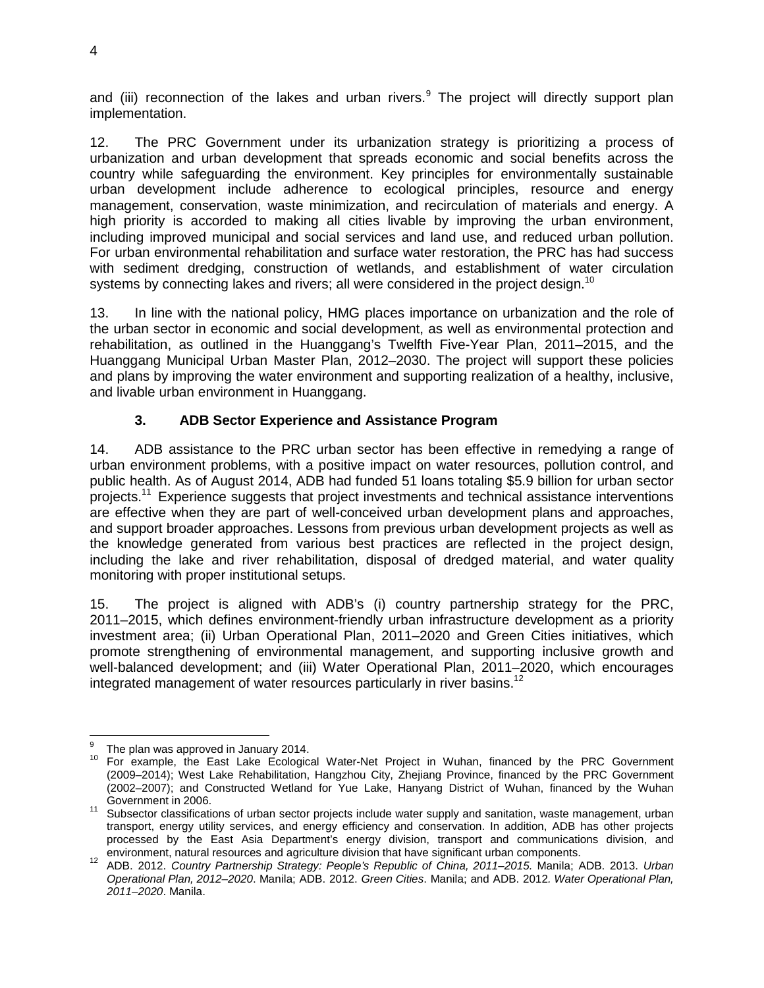and (iii) reconnection of the lakes and urban rivers. $9$  The project will directly support plan implementation.

12. The PRC Government under its urbanization strategy is prioritizing a process of urbanization and urban development that spreads economic and social benefits across the country while safeguarding the environment. Key principles for environmentally sustainable urban development include adherence to ecological principles, resource and energy management, conservation, waste minimization, and recirculation of materials and energy. A high priority is accorded to making all cities livable by improving the urban environment, including improved municipal and social services and land use, and reduced urban pollution. For urban environmental rehabilitation and surface water restoration, the PRC has had success with sediment dredging, construction of wetlands, and establishment of water circulation systems by connecting lakes and rivers; all were considered in the project design.<sup>10</sup>

13. In line with the national policy, HMG places importance on urbanization and the role of the urban sector in economic and social development, as well as environmental protection and rehabilitation, as outlined in the Huanggang's Twelfth Five-Year Plan, 2011–2015, and the Huanggang Municipal Urban Master Plan, 2012–2030. The project will support these policies and plans by improving the water environment and supporting realization of a healthy, inclusive, and livable urban environment in Huanggang.

### **3. ADB Sector Experience and Assistance Program**

14. ADB assistance to the PRC urban sector has been effective in remedying a range of urban environment problems, with a positive impact on water resources, pollution control, and public health. As of August 2014, ADB had funded 51 loans totaling \$5.9 billion for urban sector projects.<sup>11</sup> Experience suggests that project investments and technical assistance interventions are effective when they are part of well-conceived urban development plans and approaches, and support broader approaches. Lessons from previous urban development projects as well as the knowledge generated from various best practices are reflected in the project design, including the lake and river rehabilitation, disposal of dredged material, and water quality monitoring with proper institutional setups.

15. The project is aligned with ADB's (i) country partnership strategy for the PRC, 2011–2015, which defines environment-friendly urban infrastructure development as a priority investment area; (ii) Urban Operational Plan, 2011–2020 and Green Cities initiatives, which promote strengthening of environmental management, and supporting inclusive growth and well-balanced development; and (iii) Water Operational Plan, 2011–2020, which encourages integrated management of water resources particularly in river basins.<sup>12</sup>

 $\overline{a}$ 

<sup>&</sup>lt;sup>9</sup> The plan was approved in January 2014.<br><sup>10</sup> For example, the East Lake Ecological Water-Net Project in Wuhan, financed by the PRC Government (2009–2014); West Lake Rehabilitation, Hangzhou City, Zhejiang Province, financed by the PRC Government (2002–2007); and Constructed Wetland for Yue Lake, Hanyang District of Wuhan, financed by the Wuhan

<sup>11</sup> Subsector classifications of urban sector projects include water supply and sanitation, waste management, urban transport, energy utility services, and energy efficiency and conservation. In addition, ADB has other projects processed by the East Asia Department's energy division, transport and communications division, and environment, natural resources and agriculture division that have significant urban components.

<sup>&</sup>lt;sup>12</sup> ADB. 2012. Country Partnership Strategy: People's Republic of China, 2011–2015. Manila; ADB. 2013. Urban *Operational Plan, 2012–2020*. Manila; ADB. 2012. *Green Cities*. Manila; and ADB. 2012*. Water Operational Plan, 2011–2020*. Manila.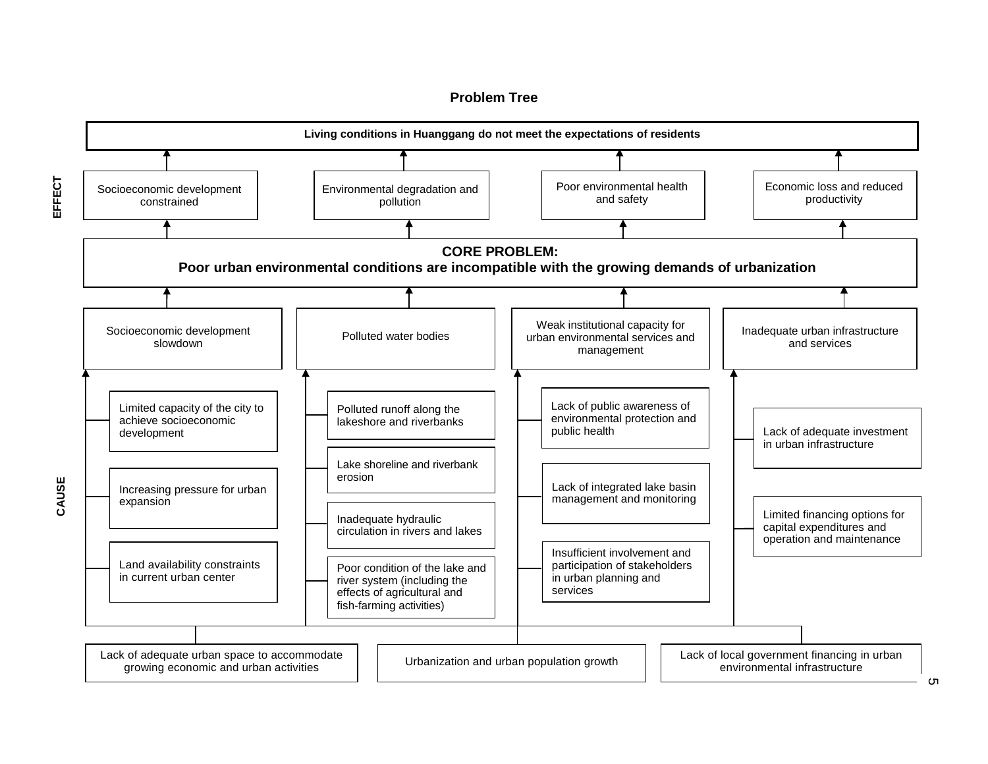

EFFECT